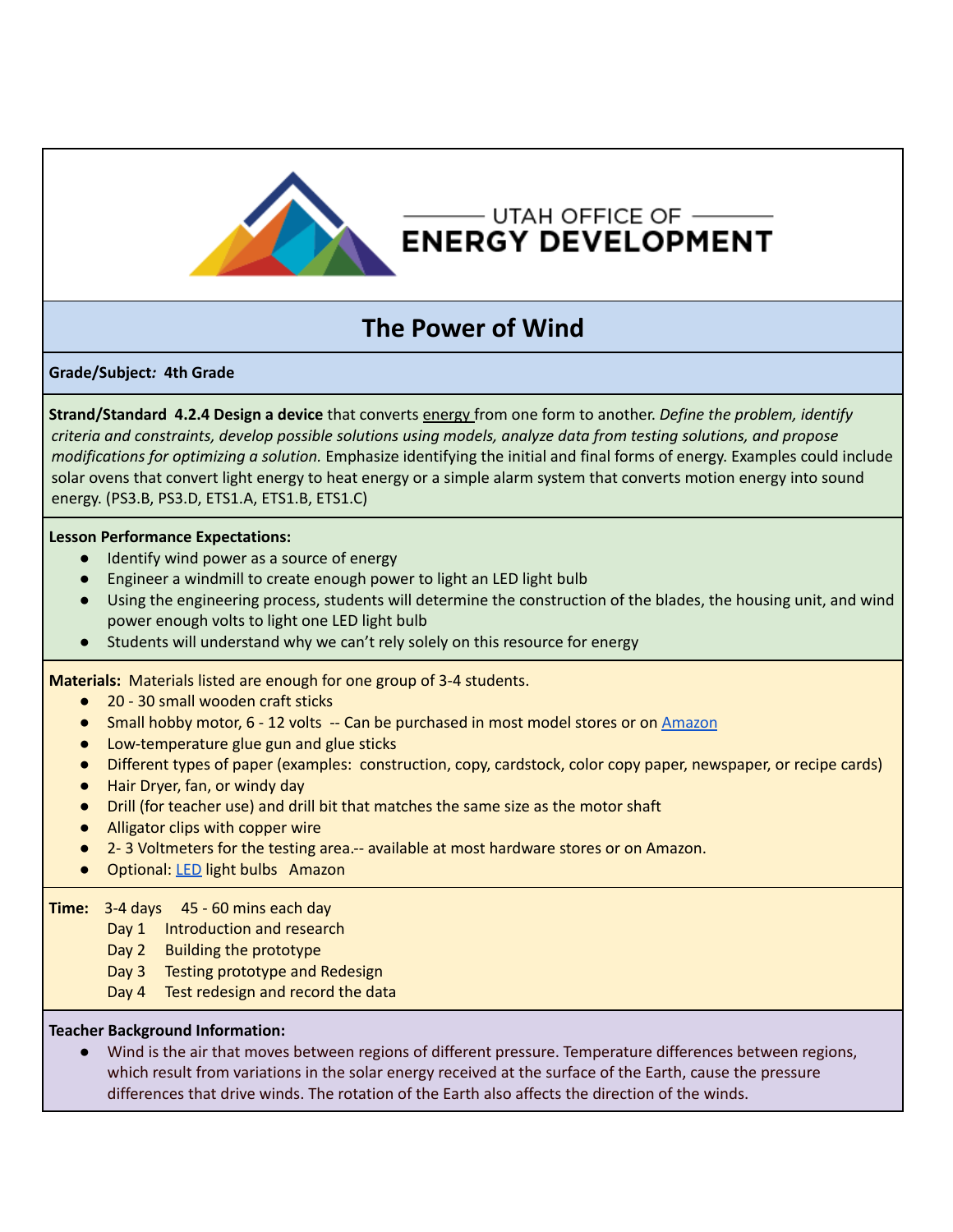

## $-$ UTAH OFFICE OF  $-$ **ENERGY DEVELOPMENT**

# **The Power of Wind**

## **Grade/Subject***:* **4th Grade**

**Strand/Standard 4.2.4 Design a device** that converts energy from one form to another. *Define the problem, identify criteria and constraints, develop possible solutions using models, analyze data from testing solutions, and propose modifications for optimizing a solution.* Emphasize identifying the initial and final forms of energy. Examples could include solar ovens that convert light energy to heat energy or a simple alarm system that converts motion energy into sound energy. (PS3.B, PS3.D, ETS1.A, ETS1.B, ETS1.C)

### **Lesson Performance Expectations:**

- Identify wind power as a source of energy
- Engineer a windmill to create enough power to light an LED light bulb
- Using the engineering process, students will determine the construction of the blades, the housing unit, and wind power enough volts to light one LED light bulb
- Students will understand why we can't rely solely on this resource for energy

**Materials:** Materials listed are enough for one group of 3-4 students.

- 20 30 small wooden craft sticks
- Small hobby motor, 6 12 volts -- Can be purchased in most model stores or on [Amazon](https://www.amazon.com/dp/B07CJNXTV1/?coliid=I35UH0SAOJNSV4&colid=KPQOQDXAGDUD&psc=0&ref_=lv_ov_lig_dp_it)
- Low-temperature glue gun and glue sticks
- Different types of paper (examples: construction, copy, cardstock, color copy paper, newspaper, or recipe cards)
- Hair Dryer, fan, or windy day
- Drill (for teacher use) and drill bit that matches the same size as the motor shaft
- Alligator clips with copper wire
- 2- 3 Voltmeters for the testing area.-- available at most hardware stores or on Amazon.
- Optional: [LED](https://www.amazon.com/dp/B06XPV4CSH/?coliid=IGNLHDOSG1M85&colid=KPQOQDXAGDUD&psc=0&ref_=lv_ov_lig_dp_it) light bulbs Amazon

### **Time:** 3-4 days 45 - 60 mins each day

- Day 1 Introduction and research
- Day 2 Building the prototype
- Day 3 Testing prototype and Redesign
- Day 4 Test redesign and record the data

#### **Teacher Background Information:**

● Wind is the air that moves between regions of different pressure. Temperature differences between regions, which result from variations in the solar energy received at the surface of the Earth, cause the pressure differences that drive winds. The rotation of the Earth also affects the direction of the winds.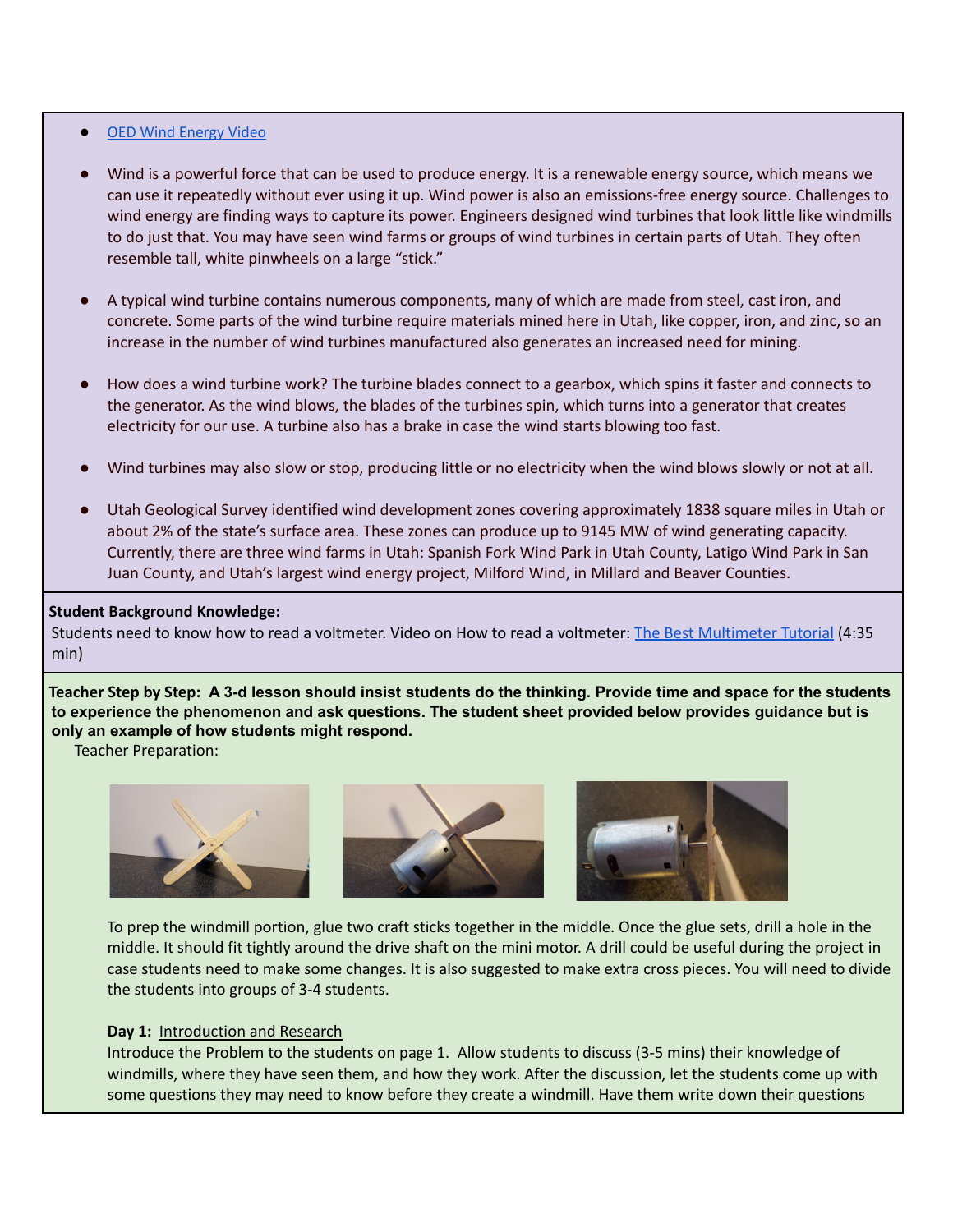#### ● [OED Wind Energy Video](https://www.youtube.com/watch?v=2UqVwvnXzNM)

- Wind is a powerful force that can be used to produce energy. It is a renewable energy source, which means we can use it repeatedly without ever using it up. Wind power is also an emissions-free energy source. Challenges to wind energy are finding ways to capture its power. Engineers designed wind turbines that look little like windmills to do just that. You may have seen wind farms or groups of wind turbines in certain parts of Utah. They often resemble tall, white pinwheels on a large "stick."
- A typical wind turbine contains numerous components, many of which are made from steel, cast iron, and concrete. Some parts of the wind turbine require materials mined here in Utah, like copper, iron, and zinc, so an increase in the number of wind turbines manufactured also generates an increased need for mining.
- How does a wind turbine work? The turbine blades connect to a gearbox, which spins it faster and connects to the generator. As the wind blows, the blades of the turbines spin, which turns into a generator that creates electricity for our use. A turbine also has a brake in case the wind starts blowing too fast.
- Wind turbines may also slow or stop, producing little or no electricity when the wind blows slowly or not at all.
- Utah Geological Survey identified wind development zones covering approximately 1838 square miles in Utah or about 2% of the state's surface area. These zones can produce up to 9145 MW of wind generating capacity. Currently, there are three wind farms in Utah: Spanish Fork Wind Park in Utah County, Latigo Wind Park in San Juan County, and Utah's largest wind energy project, Milford Wind, in Millard and Beaver Counties.

#### **Student Background Knowledge:**

Students need to know how to read a voltmeter. Video on How to read a voltmeter: The Best [Multimeter](https://youtu.be/bF3OyQ3HwfU) Tutorial (4:35 min)

Teacher Step by Step: A 3-d lesson should insist students do the thinking. Provide time and space for the students **to experience the phenomenon and ask questions. The student sheet provided below provides guidance but is only an example of how students might respond.**

Teacher Preparation:



To prep the windmill portion, glue two craft sticks together in the middle. Once the glue sets, drill a hole in the middle. It should fit tightly around the drive shaft on the mini motor. A drill could be useful during the project in case students need to make some changes. It is also suggested to make extra cross pieces. You will need to divide the students into groups of 3-4 students.

#### **Day 1:** Introduction and Research

Introduce the Problem to the students on page 1. Allow students to discuss (3-5 mins) their knowledge of windmills, where they have seen them, and how they work. After the discussion, let the students come up with some questions they may need to know before they create a windmill. Have them write down their questions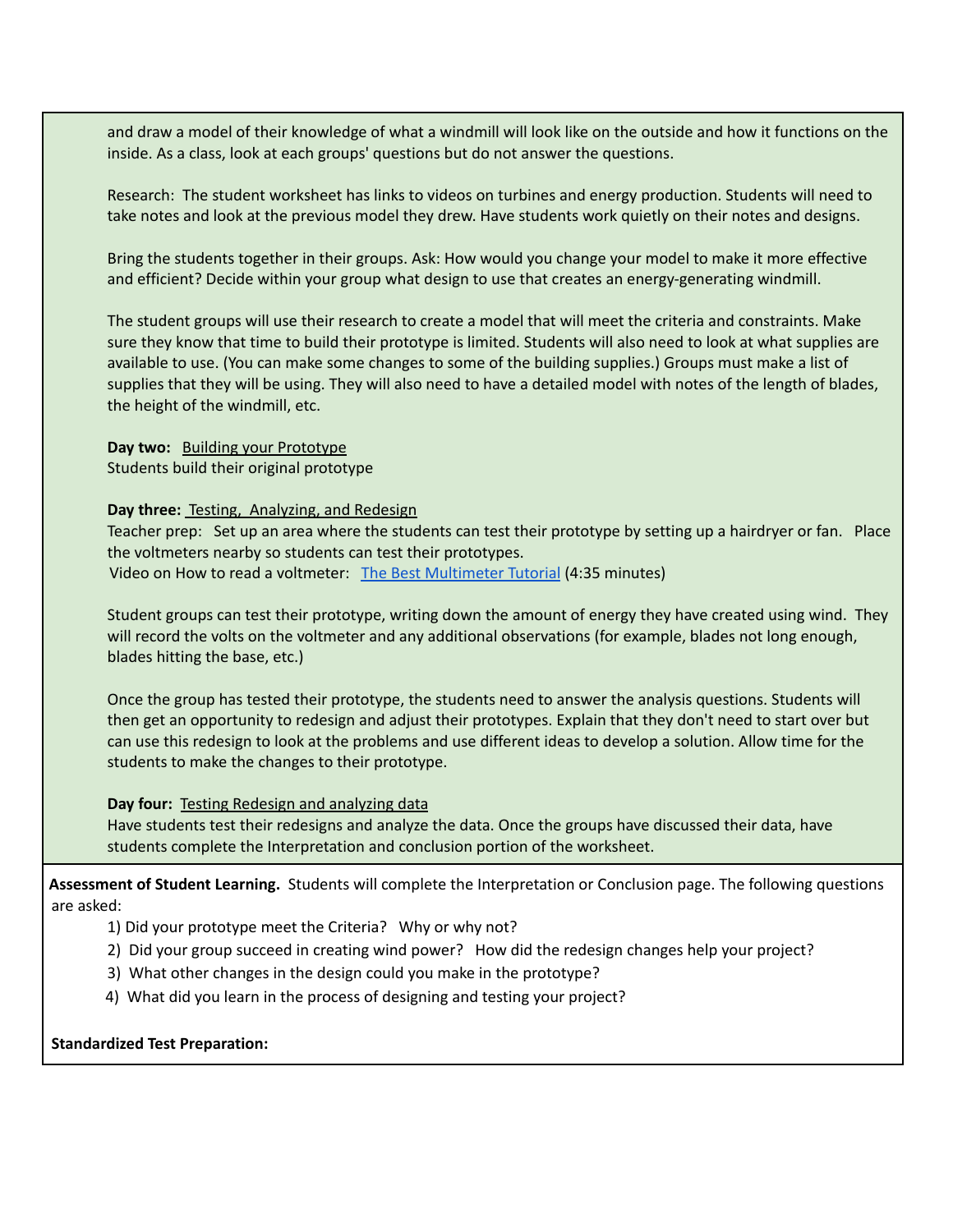and draw a model of their knowledge of what a windmill will look like on the outside and how it functions on the inside. As a class, look at each groups' questions but do not answer the questions.

Research: The student worksheet has links to videos on turbines and energy production. Students will need to take notes and look at the previous model they drew. Have students work quietly on their notes and designs.

Bring the students together in their groups. Ask: How would you change your model to make it more effective and efficient? Decide within your group what design to use that creates an energy-generating windmill.

The student groups will use their research to create a model that will meet the criteria and constraints. Make sure they know that time to build their prototype is limited. Students will also need to look at what supplies are available to use. (You can make some changes to some of the building supplies.) Groups must make a list of supplies that they will be using. They will also need to have a detailed model with notes of the length of blades, the height of the windmill, etc.

**Day two:** Building your Prototype Students build their original prototype

#### **Day three:** Testing, Analyzing, and Redesign

Teacher prep: Set up an area where the students can test their prototype by setting up a hairdryer or fan. Place the voltmeters nearby so students can test their prototypes. Video on How to read a voltmeter: The Best [Multimeter](https://youtu.be/bF3OyQ3HwfU) Tutorial (4:35 minutes)

Student groups can test their prototype, writing down the amount of energy they have created using wind. They will record the volts on the voltmeter and any additional observations (for example, blades not long enough, blades hitting the base, etc.)

Once the group has tested their prototype, the students need to answer the analysis questions. Students will then get an opportunity to redesign and adjust their prototypes. Explain that they don't need to start over but can use this redesign to look at the problems and use different ideas to develop a solution. Allow time for the students to make the changes to their prototype.

#### **Day four:** Testing Redesign and analyzing data

Have students test their redesigns and analyze the data. Once the groups have discussed their data, have students complete the Interpretation and conclusion portion of the worksheet.

**Assessment of Student Learning.** Students will complete the Interpretation or Conclusion page. The following questions are asked:

- 1) Did your prototype meet the Criteria? Why or why not?
- 2) Did your group succeed in creating wind power? How did the redesign changes help your project?
- 3) What other changes in the design could you make in the prototype?
- 4) What did you learn in the process of designing and testing your project?

#### **Standardized Test Preparation:**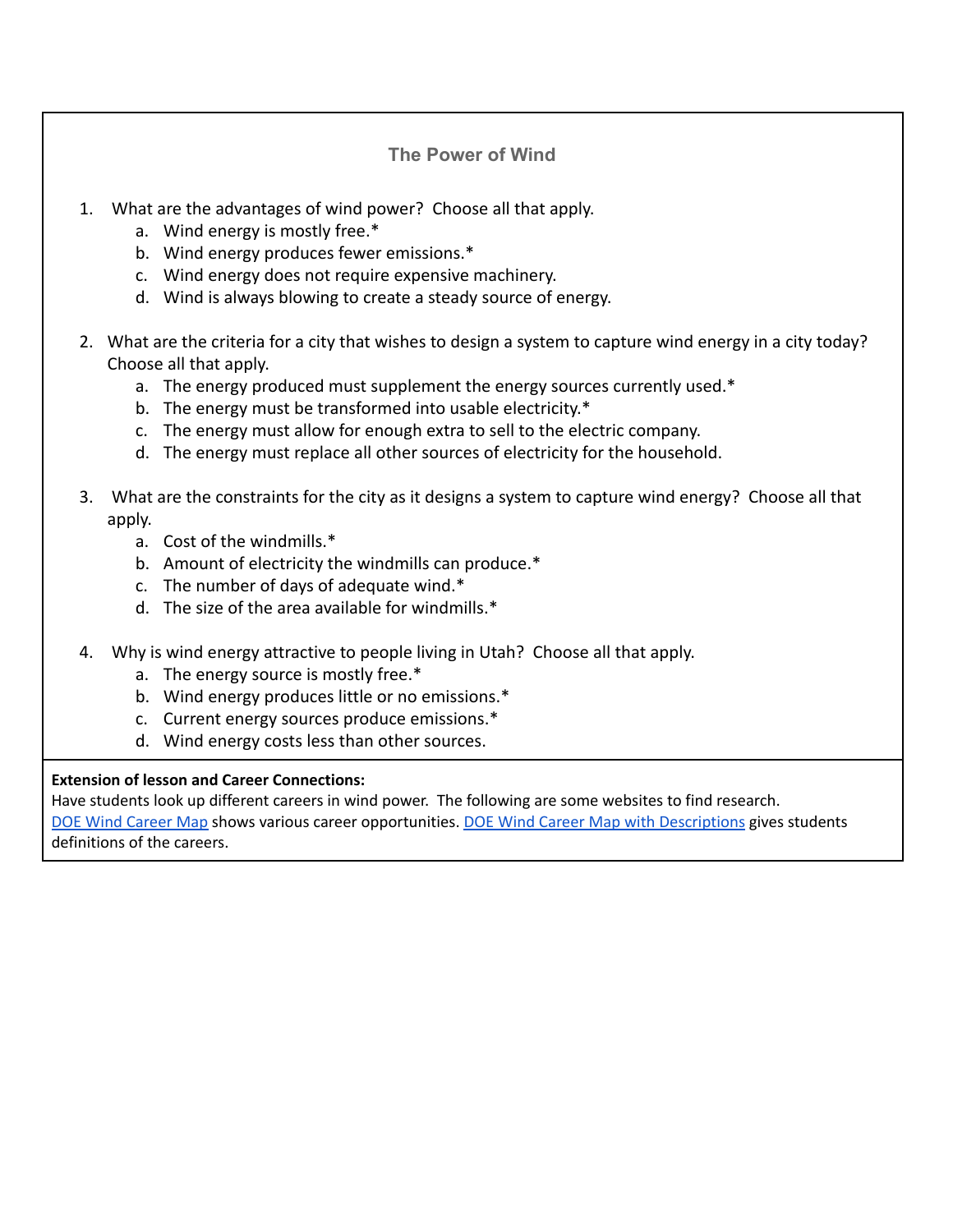## **The Power of Wind**

- 1. What are the advantages of wind power? Choose all that apply.
	- a. Wind energy is mostly free.\*
	- b. Wind energy produces fewer emissions.\*
	- c. Wind energy does not require expensive machinery.
	- d. Wind is always blowing to create a steady source of energy.
- 2. What are the criteria for a city that wishes to design a system to capture wind energy in a city today? Choose all that apply.
	- a. The energy produced must supplement the energy sources currently used.\*
	- b. The energy must be transformed into usable electricity.\*
	- c. The energy must allow for enough extra to sell to the electric company.
	- d. The energy must replace all other sources of electricity for the household.
- 3. What are the constraints for the city as it designs a system to capture wind energy? Choose all that apply.
	- a. Cost of the windmills.\*
	- b. Amount of electricity the windmills can produce.\*
	- c. The number of days of adequate wind.\*
	- d. The size of the area available for windmills.\*
- 4. Why is wind energy attractive to people living in Utah? Choose all that apply.
	- a. The energy source is mostly free.\*
	- b. Wind energy produces little or no emissions.\*
	- c. Current energy sources produce emissions.\*
	- d. Wind energy costs less than other sources.

## **Extension of lesson and Career Connections:**

Have students look up different careers in wind power. The following are some websites to find research. DOE Wind [Career](https://www.energy.gov/eere/wind/wind-career-map) Map shows various career opportunities. DOE Wind Career Map with [Descriptions](https://www.energy.gov/eere/wind/wind-career-map-text-version) gives students definitions of the careers.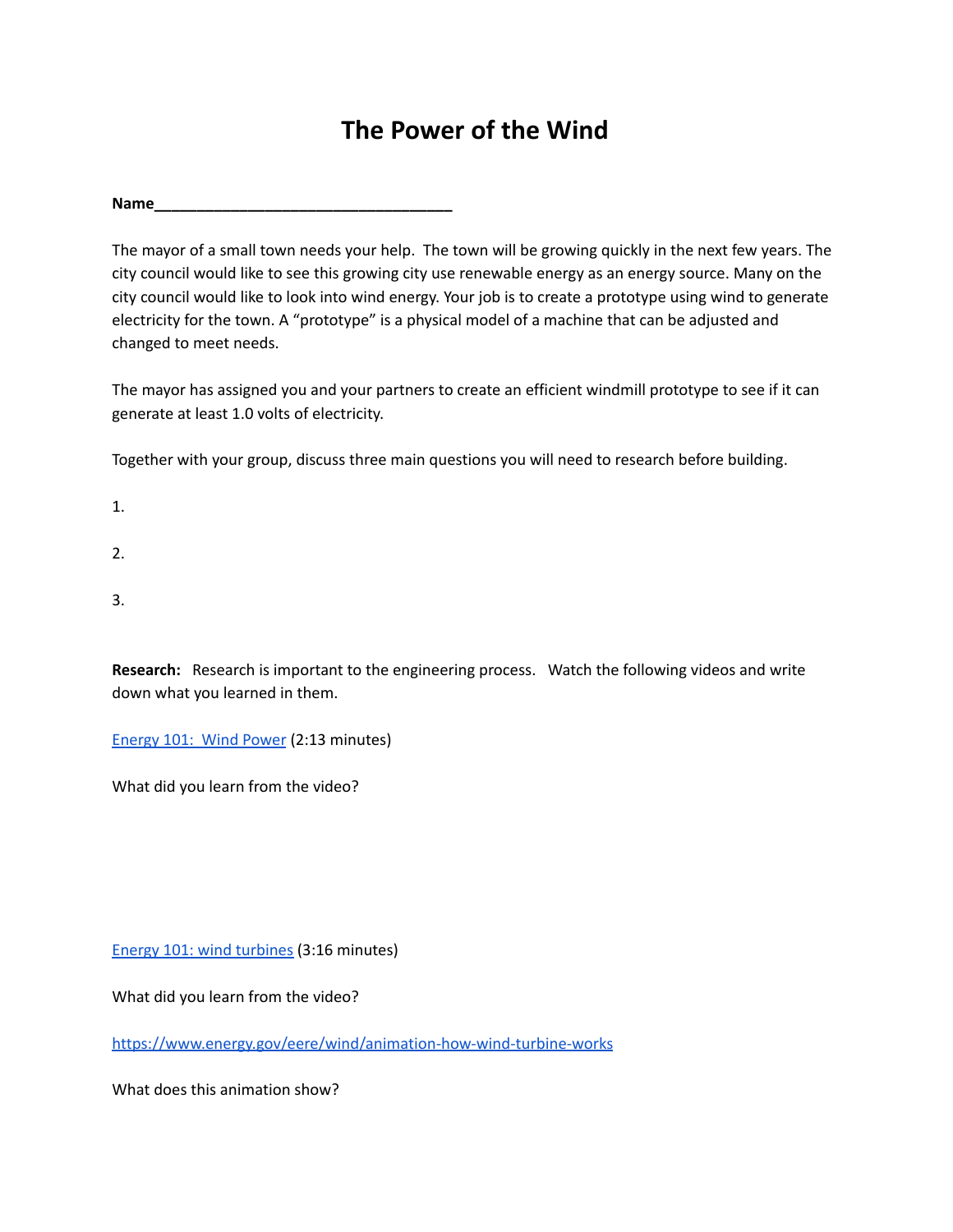## **The Power of the Wind**

**Name\_\_\_\_\_\_\_\_\_\_\_\_\_\_\_\_\_\_\_\_\_\_\_\_\_\_\_\_\_\_\_\_\_\_\_**

The mayor of a small town needs your help. The town will be growing quickly in the next few years. The city council would like to see this growing city use renewable energy as an energy source. Many on the city council would like to look into wind energy. Your job is to create a prototype using wind to generate electricity for the town. A "prototype" is a physical model of a machine that can be adjusted and changed to meet needs.

The mayor has assigned you and your partners to create an efficient windmill prototype to see if it can generate at least 1.0 volts of electricity.

Together with your group, discuss three main questions you will need to research before building.

1.

2.

3.

**Research:** Research is important to the engineering process. Watch the following videos and write down what you learned in them.

[Energy](https://youtu.be/niZ_cvu9Fts) 101: Wind Power (2:13 minutes)

What did you learn from the video?

Energy 101: wind [turbines](https://youtu.be/EYYHfMCw-FI) (3:16 minutes)

What did you learn from the video?

<https://www.energy.gov/eere/wind/animation-how-wind-turbine-works>

What does this animation show?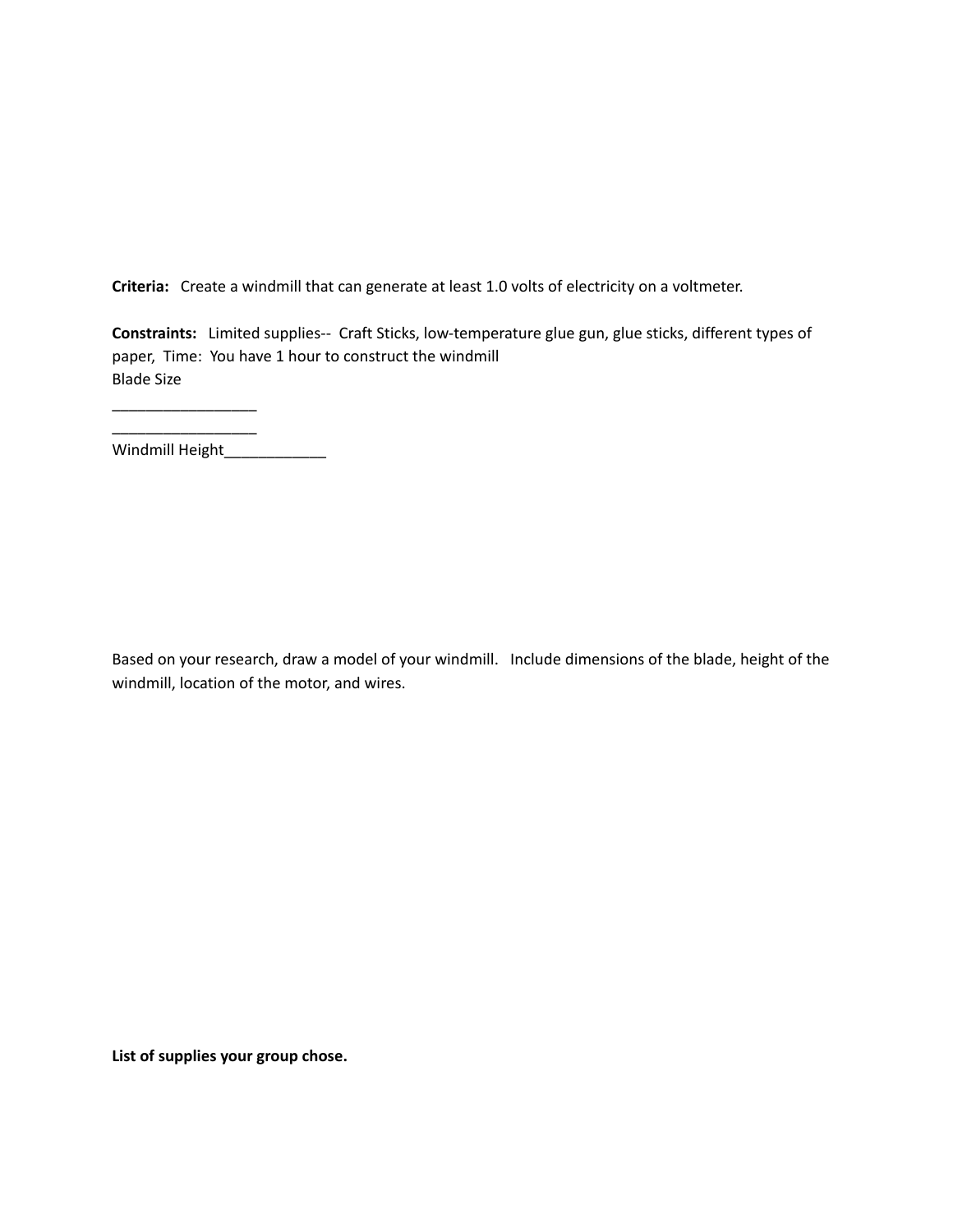**Criteria:** Create a windmill that can generate at least 1.0 volts of electricity on a voltmeter.

**Constraints:** Limited supplies-- Craft Sticks, low-temperature glue gun, glue sticks, different types of paper, Time: You have 1 hour to construct the windmill Blade Size

\_\_\_\_\_\_\_\_\_\_\_\_\_\_\_\_\_ Windmill Height\_\_\_\_\_\_\_\_\_\_\_\_\_\_

\_\_\_\_\_\_\_\_\_\_\_\_\_\_\_\_\_

Based on your research, draw a model of your windmill. Include dimensions of the blade, height of the windmill, location of the motor, and wires.

**List of supplies your group chose.**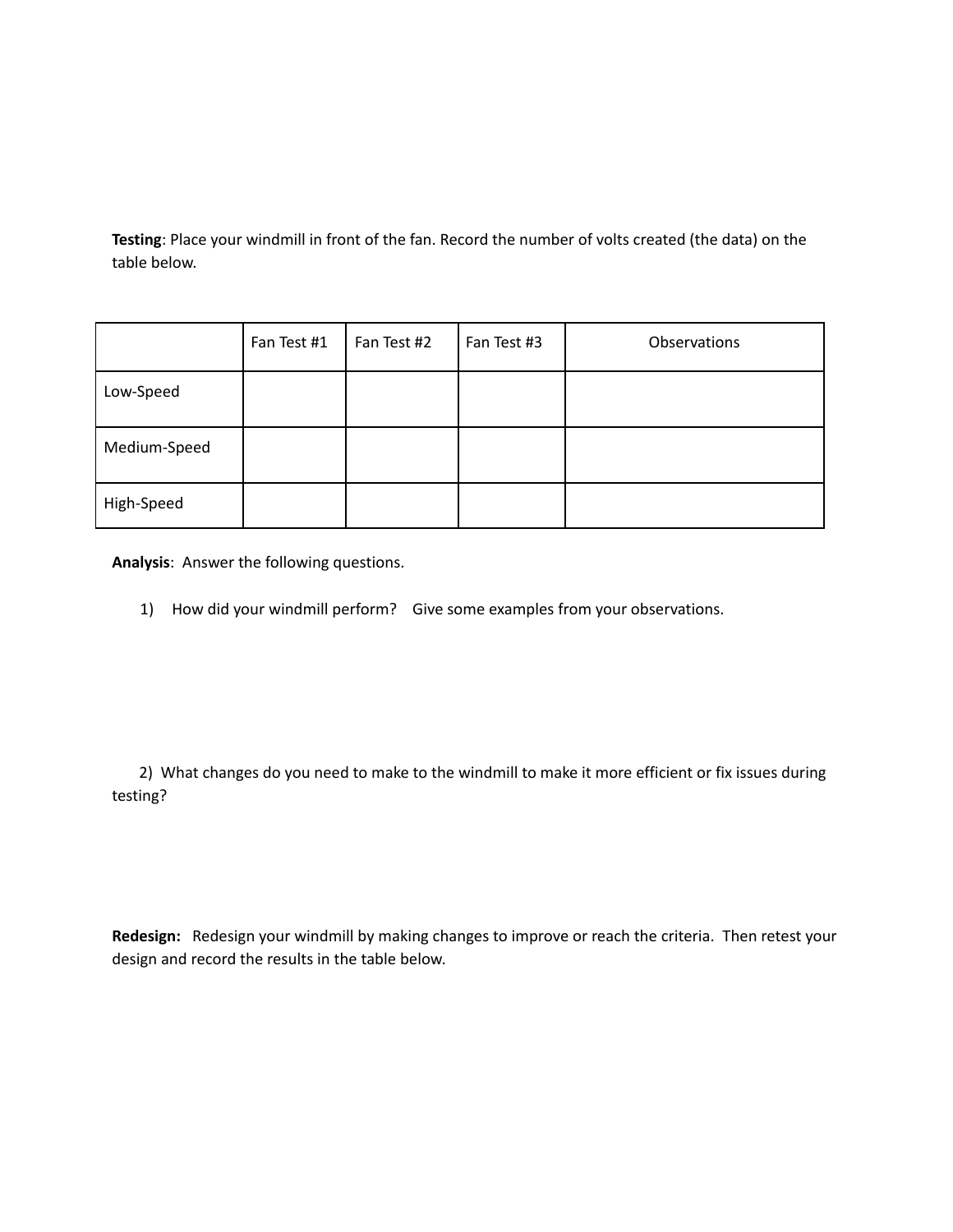**Testing**: Place your windmill in front of the fan. Record the number of volts created (the data) on the table below.

|              | Fan Test #1 | Fan Test #2 | Fan Test #3 | Observations |
|--------------|-------------|-------------|-------------|--------------|
| Low-Speed    |             |             |             |              |
| Medium-Speed |             |             |             |              |
| High-Speed   |             |             |             |              |

**Analysis**: Answer the following questions.

1) How did your windmill perform? Give some examples from your observations.

2) What changes do you need to make to the windmill to make it more efficient or fix issues during testing?

**Redesign:** Redesign your windmill by making changes to improve or reach the criteria. Then retest your design and record the results in the table below.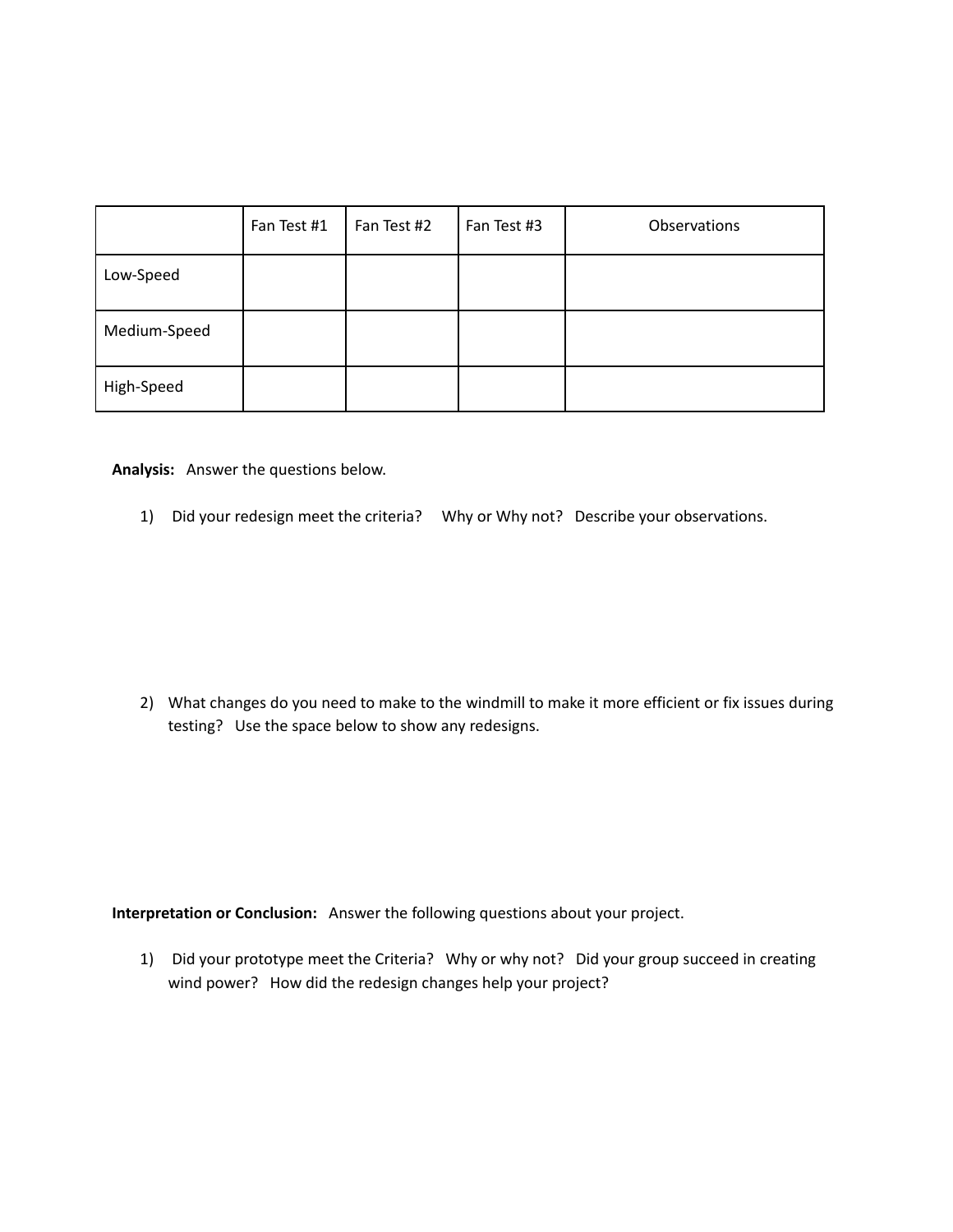|              | Fan Test #1 | Fan Test #2 | Fan Test #3 | Observations |
|--------------|-------------|-------------|-------------|--------------|
| Low-Speed    |             |             |             |              |
| Medium-Speed |             |             |             |              |
| High-Speed   |             |             |             |              |

**Analysis:** Answer the questions below.

1) Did your redesign meet the criteria? Why or Why not? Describe your observations.

2) What changes do you need to make to the windmill to make it more efficient or fix issues during testing? Use the space below to show any redesigns.

**Interpretation or Conclusion:** Answer the following questions about your project.

1) Did your prototype meet the Criteria? Why or why not? Did your group succeed in creating wind power? How did the redesign changes help your project?